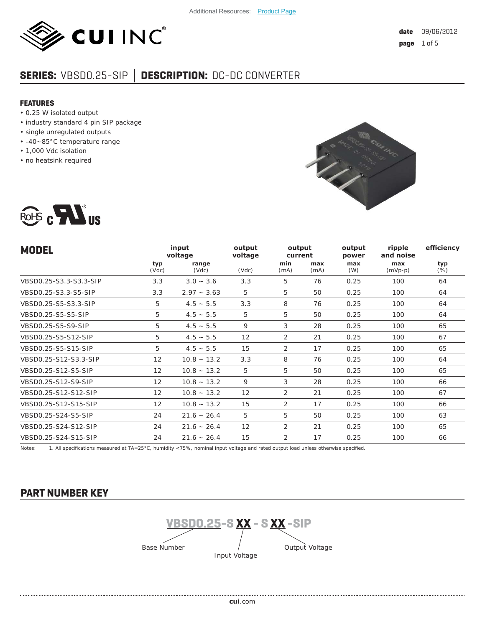

# **SERIES:** VBSD0.25-SIP **│ DESCRIPTION:** DC-DC CONVERTER

#### **FEATURES**

- 0.25 W isolated output
- industry standard 4 pin SIP package
- single unregulated outputs
- -40~85°C temperature range
- 1,000 Vdc isolation
- no heatsink required





| <b>MODEL</b>           |                   | input<br>voltage | output<br>voltage | output<br>current |             | output<br>power | efficiency<br>ripple<br>and noise |               |
|------------------------|-------------------|------------------|-------------------|-------------------|-------------|-----------------|-----------------------------------|---------------|
|                        | typ<br>(Vdc)      | range<br>(Vdc)   | (Vdc)             | min<br>(mA)       | max<br>(mA) | max<br>(W)      | max<br>$(mVp-p)$                  | typ<br>$(\%)$ |
| VBSD0.25-S3.3-S3.3-SIP | 3.3               | $3.0 - 3.6$      | 3.3               | 5                 | 76          | 0.25            | 100                               | 64            |
| VBSD0.25-S3.3-S5-SIP   | 3.3               | $2.97 - 3.63$    | 5                 | 5                 | 50          | 0.25            | 100                               | 64            |
| VBSD0.25-S5-S3.3-SIP   | 5                 | $4.5 - 5.5$      | 3.3               | 8                 | 76          | 0.25            | 100                               | 64            |
| VBSD0.25-S5-S5-SIP     | 5                 | $4.5 - 5.5$      | 5                 | 5                 | 50          | 0.25            | 100                               | 64            |
| VBSD0.25-S5-S9-SIP     | 5                 | $4.5 - 5.5$      | 9                 | 3                 | 28          | 0.25            | 100                               | 65            |
| VBSD0.25-S5-S12-SIP    | 5                 | $4.5 - 5.5$      | 12                | 2                 | 21          | 0.25            | 100                               | 67            |
| VBSD0.25-S5-S15-SIP    | 5                 | $4.5 - 5.5$      | 15                | 2                 | 17          | 0.25            | 100                               | 65            |
| VBSD0.25-S12-S3.3-SIP  | $12 \overline{ }$ | $10.8 - 13.2$    | 3.3               | 8                 | 76          | 0.25            | 100                               | 64            |
| VBSD0.25-S12-S5-SIP    | 12                | $10.8 - 13.2$    | 5                 | 5                 | 50          | 0.25            | 100                               | 65            |
| VBSD0.25-S12-S9-SIP    | $12 \overline{ }$ | $10.8 - 13.2$    | 9                 | 3                 | 28          | 0.25            | 100                               | 66            |
| VBSD0.25-S12-S12-SIP   | $12 \overline{ }$ | $10.8 - 13.2$    | 12                | 2                 | 21          | 0.25            | 100                               | 67            |
| VBSD0.25-S12-S15-SIP   | 12                | $10.8 - 13.2$    | 15                | 2                 | 17          | 0.25            | 100                               | 66            |
| VBSD0.25-S24-S5-SIP    | 24                | $21.6 - 26.4$    | 5                 | 5                 | 50          | 0.25            | 100                               | 63            |
| VBSD0.25-S24-S12-SIP   | 24                | $21.6 - 26.4$    | 12                | 2                 | 21          | 0.25            | 100                               | 65            |
| VBSD0.25-S24-S15-SIP   | 24                | $21.6 - 26.4$    | 15                | 2                 | 17          | 0.25            | 100                               | 66            |

Notes: 1. All specifications measured at TA=25°C, humidity <75%, nominal input voltage and rated output load unless otherwise specified.

## **PART NUMBER KEY**

**VBSD0.25-S XX - S XX -SIP** Base Number Input Voltage Output Voltage

**cui**[.com](https://www.cui.com/track?actionLabel=Datasheet-ClickThrough-HomePage&label=VBSD0.25-SIP.pdf&path=/)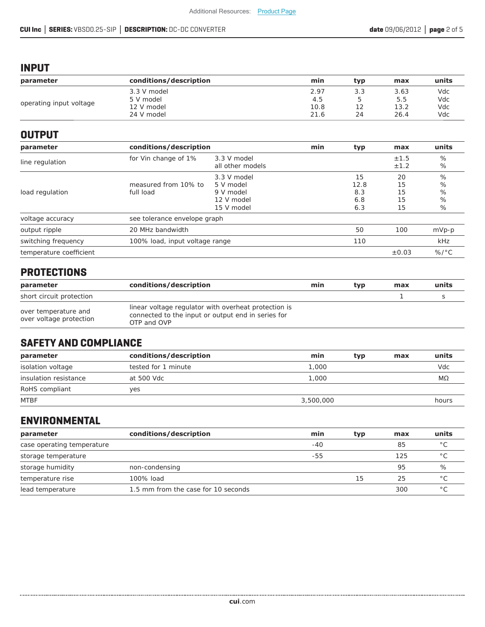## **INPUT**

| parameter               | conditions/description | min  | tvp | max  | units |
|-------------------------|------------------------|------|-----|------|-------|
| operating input voltage | 3.3 V model            | 2.97 | 3.3 | 3.63 | Vdc   |
|                         | 5 V model              | 4.5  | 5   | 5.5  | Vdc   |
|                         | 12 V model             | 10.8 |     | 13.2 | Vdc   |
|                         | 24 V model             | 21.6 | 24  | 26.4 | Vdc   |

### **OUTPUT**

| parameter               | conditions/description            |                                                                   | min | typ                             | max                        | units                    |
|-------------------------|-----------------------------------|-------------------------------------------------------------------|-----|---------------------------------|----------------------------|--------------------------|
| line regulation         | for Vin change of 1%              | 3.3 V model<br>all other models                                   |     |                                 | ±1.5<br>±1.2               | %<br>%                   |
| load regulation         | measured from 10% to<br>full load | 3.3 V model<br>5 V model<br>9 V model<br>12 V model<br>15 V model |     | 15<br>12.8<br>8.3<br>6.8<br>6.3 | 20<br>15<br>15<br>15<br>15 | $\%$<br>%<br>%<br>%<br>% |
| voltage accuracy        | see tolerance envelope graph      |                                                                   |     |                                 |                            |                          |
| output ripple           | 20 MHz bandwidth                  |                                                                   |     | 50                              | 100                        | $mVp-p$                  |
| switching frequency     | 100% load, input voltage range    |                                                                   |     | 110                             |                            | kHz                      |
| temperature coefficient |                                   |                                                                   |     |                                 | $\pm 0.03$                 | $\%$ /°C                 |

## **PROTECTIONS**

| parameter                                       | conditions/description                                                                                                    | min | typ | max | units |
|-------------------------------------------------|---------------------------------------------------------------------------------------------------------------------------|-----|-----|-----|-------|
| short circuit protection                        |                                                                                                                           |     |     |     |       |
| over temperature and<br>over voltage protection | linear voltage regulator with overheat protection is<br>connected to the input or output end in series for<br>OTP and OVP |     |     |     |       |

## **SAFETY AND COMPLIANCE**

| parameter             | conditions/description | min<br>typ | max | units |
|-----------------------|------------------------|------------|-----|-------|
| isolation voltage     | tested for 1 minute    | 1,000      |     | Vdc.  |
| insulation resistance | at 500 Vdc             | 1,000      |     | МΩ    |
| RoHS compliant        | ves                    |            |     |       |
| <b>MTBF</b>           |                        | 3,500,000  |     | hours |

## **ENVIRONMENTAL**

| parameter                  | conditions/description              | min | typ | max | units          |
|----------------------------|-------------------------------------|-----|-----|-----|----------------|
| case operating temperature |                                     | -40 |     | 85  | $^{\circ}$ C   |
| storage temperature        |                                     | -55 |     | 125 | $\circ$ $\cap$ |
| storage humidity           | non-condensing                      |     |     | 95  | %              |
| temperature rise           | 100% load                           |     | 15  | 25  | $\circ$ $\cap$ |
| lead temperature           | 1.5 mm from the case for 10 seconds |     |     | 300 | $\circ$ $\cap$ |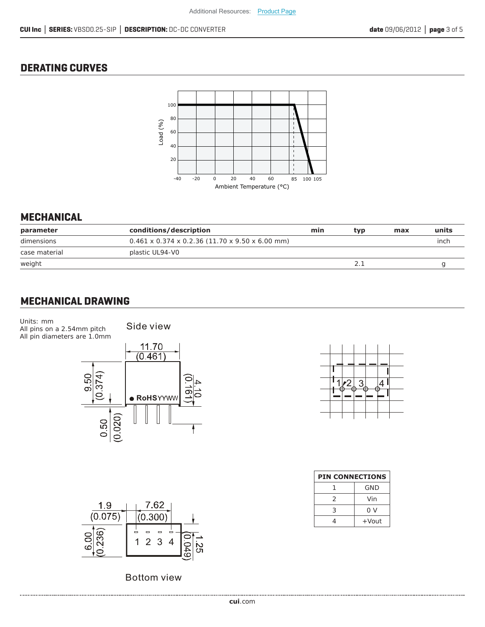## **DERATING CURVES**



### **MECHANICAL**

| conditions/description                            | min | tvp | max | units |
|---------------------------------------------------|-----|-----|-----|-------|
| $0.461$ x 0.374 x 0.2.36 (11.70 x 9.50 x 6.00 mm) |     |     |     | inch  |
| plastic UL94-V0                                   |     |     |     |       |
|                                                   |     |     |     |       |
|                                                   |     |     |     |       |

## **MECHANICAL DRAWING**

Units: mm All pins on a 2.54mm pitch All pin diameters are 1.0mm

......................

Side view





Bottom view



| <b>PIN CONNECTIONS</b> |          |  |  |  |  |
|------------------------|----------|--|--|--|--|
|                        | GND      |  |  |  |  |
| 2                      | Vin      |  |  |  |  |
| 3                      | 0 V      |  |  |  |  |
|                        | $+$ Vout |  |  |  |  |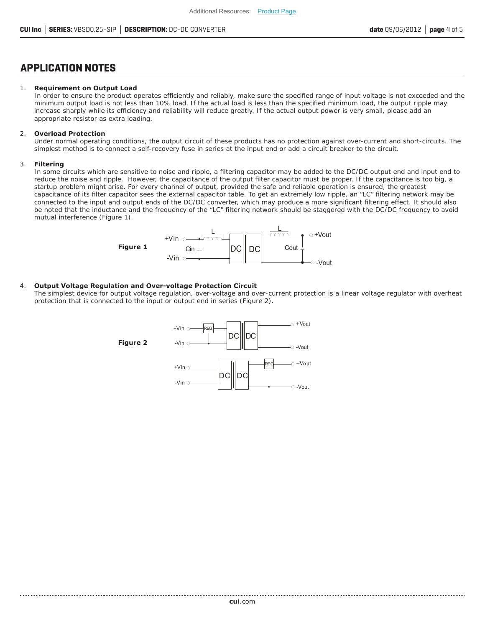### **APPLICATION NOTES**

#### 1. **Requirement on Output Load**

In order to ensure the product operates efficiently and reliably, make sure the specified range of input voltage is not exceeded and the minimum output load is not less than 10% load. If the actual load is less than the specified minimum load, the output ripple may increase sharply while its efficiency and reliability will reduce greatly. If the actual output power is very small, please add an appropriate resistor as extra loading.

#### 2. **Overload Protection**

Under normal operating conditions, the output circuit of these products has no protection against over-current and short-circuits. The simplest method is to connect a self-recovery fuse in series at the input end or add a circuit breaker to the circuit.

#### 3. **Filtering**

In some circuits which are sensitive to noise and ripple, a filtering capacitor may be added to the DC/DC output end and input end to reduce the noise and ripple. However, the capacitance of the output filter capacitor must be proper. If the capacitance is too big, a startup problem might arise. For every channel of output, provided the safe and reliable operation is ensured, the greatest capacitance of its filter capacitor sees the external capacitor table. To get an extremely low ripple, an "LC" filtering network may be connected to the input and output ends of the DC/DC converter, which may produce a more significant filtering effect. It should also be noted that the inductance and the frequency of the "LC" filtering network should be staggered with the DC/DC frequency to avoid mutual interference (Figure 1).



#### 4. **Output Voltage Regulation and Over-voltage Protection Circuit**

The simplest device for output voltage regulation, over-voltage and over-current protection is a linear voltage regulator with overheat protection that is connected to the input or output end in series (Figure 2).